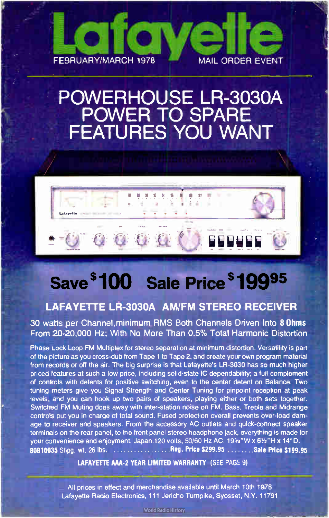

# POWERHOUSE LR-3030A POWER TO SPARE FEATURES YOU WANT

# OGO (

# Save \$100 Sale Price \$19995

#### LAFAYETTE LR-3030A AM/FM STEREO RECEIVER

30 watts per Channel,minimum RMS Both Channels Driven Into 8 Ohms From 20-20,000 Hz; With No More Than 0.5% Total Harmonic Distortion

Phase Lock Loop FM Multiplex for stereo separation at minimum distortion. Versatility is part of the picture as you cross- dub from Tape 1 to Tape 2, and create your own program material from records or off the air. The big surprise is that Lafayette's LR-3030 has so much higher priced features at such a low price, including solid-state IC dependability; a full complement of controls with detents for positive switching, even to the center detent on Balance. Two tuning meters give you Signal Strength and Center Tuning for pinpoint reception at peak levels, and you can hook up two pairs of speakers, playing either or both sets together. Switched FM Muting does away with inter-station noise on FM. Bass, Treble and Midrange contro's put you in charge of total sound. Fused protection overall prevents over-load damage to receiver and speakers. From the accessory AC outlets and quick-connect speaker terminals on the rear panel, to the front panel stereo headphone jack, everything is made for your convenience and enjoyment. Japan.120 volts, 50/60 Hz AC. 1934"W x 61/2"H x 14"D. 80810035 Shpg. wt. 26 lbs. Reg. Reg. Price \$299.95 Sale Price \$199.95 Sale Price \$ 199.95

#### LAFAYETTE AAA-2 YEAR LIMITED WARRANTY (SEE PAGE 9)

All prices in effect and merchandise available until March 10th 1978 Lafayette Radio Electronics, 111 Jericho Turnpike, Syosset, N.Y. 11791

**World Radio History**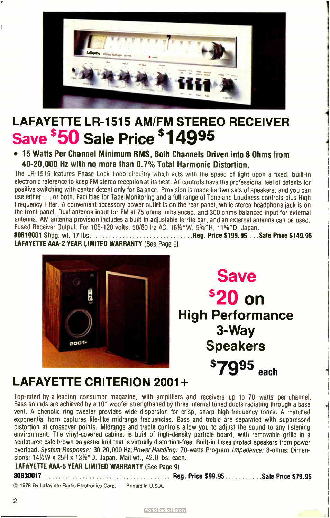

# LAFAYETTE LR-1515 AM/FM STEREO RECEIVER Save \$50 Sale Price \$14995

• 15 Watts Per Channel Minimum RMS, Both Channels Driven into 8 Ohms from 40-20,000 Hz with no more than 0.7% Total Harmonic Distortion.

The LR-1515 features Phase Lock Loop circuitry which acts with the speed of light upon a fixed, built-in electronic reference to keep FM stereo reception at its best. All controls have the professional feel of detents for positive switching with center detent only for Balance. Provision is made for two sets of speakers, and you can use either ... or both. Facilities for Tape Monitoring and a full range of Tone and Loudness controls plus High Frequency Filter. A convenient accessory power outlet is on the rear panel, while stereo headphone jack is on the front panel. Dual antenna input for FM at 75 ohms unbalanced, and 300 ohms balanced input for external antenna. AM antenna provision includes a built-in adjustable ferrite bar, and an external antenna can be used. Fused Receiver Output. For 105-120 volts, 50/60 Hz AC. 161/2"W, 53%"H, 115%"D. Japan.

80810001 Shpg. wt. 17 lbs.  $\ldots \ldots \ldots \ldots \ldots \ldots \ldots \ldots \ldots$  Reg. Price \$199.95  $\ldots$  Sale Price \$149.95 LAFAYETTE AAA-2 YEAR LIMITED WARRANTY (See Page 9)



Save \$20 on High Performance 3- Way Speakers \$7995 each

 $1 - 1$ 

## LAFAYETTE CRITERION 2001+

Top- rated by a leading consumer magazine, with amplifiers and receivers up to 70 watts per channel. Bass sounds are achieved by a 10" woofer strengthened by three internal tuned ducts radiating through a base vent. A phenolic ring tweeter provides wide dispersion for crisp, sharp high-frequency tones. A matched exponential horn captures life-like midrange frequencies. Bass and treble are separated with suppressed distortion at crossover points. Midrange and treble controls allow you to adjust the sound to any listening environment. The vinyl-covered cabinet is built of high-density particle board, with removable grille in a sculptured cafe brown polyester knit that is virtually distortion- free. Built-in fuses protect speakers from power overload. System Response: 30-20,000 Hz; Power Handling: 70-watts Program; Impedance: 8-ohms; Dimensions: 14 <sup>1</sup>/2W x 25H x 13 <sup>1</sup>/<sup>2</sup>"D. Japan. Mail wt., 42.0 lbs. each.

LAFAYETTE AAA-5 YEAR LIMITED WARRANTY (See Page 9)

80030017 Reg. Price \$ 99.95 Sale Price \$79.95

© 1978 By Lafayette Radio Electronics Corp. Printed in U.S.A.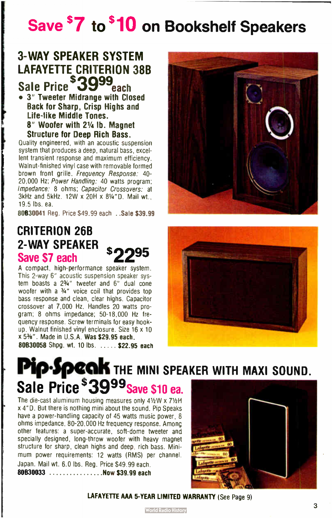# Save <sup>\$</sup>7 to <sup>\$</sup>10 on Bookshelf Speakers

## 3- WAY SPEAKER SYSTEM LAFAYETTE CRITERION 38R Sale Price \$3999each

• 3" Tweeter Midrange with Closed Back for Sharp, Crisp Highs and Life-like Middle Tones. 8" Woofer with 21/<sup>4</sup> lb. Magnet

Structure for Deep Rich Bass. Quality engineered, with an acoustic suspension

system that produces a deep, natural bass, excellent transient response and maximum efficiency. Walnut-finished vinyl case with removable formed brown front grille. Frequency Response: 40- 20,000 Hz; Power Handling: 40 watts program; Impedance: 8 ohms; Capacitor Crossovers: at  $3$ kHz and  $5$ kHz. 12W x  $20$ H x  $8\frac{1}{4}$ "D. Mail wt... 19.5 lbs. ea.

80830041 Reg. Price \$49.99 each .. Sale \$39.99

## CRITERION 26B 2- WAY SPEAKER Save \$7 each

A compact, high-performance speaker system. This 2-way 6" acoustic suspension speaker system boasts a 2<sup>3/4"</sup> tweeter and 6" dual cone woofer with a 3/4" voice coil that provides top bass response and clean, clear highs. Capacitor crossover at 7,000 Hz. Handles 20 watts program; 8 ohms impedance; 50-18,000 Hz frequency response. Screw terminals for easy hookup. Walnut finished vinyl enclosure. Size 16 x 10  $x$  5%". Made in U.S.A. Was \$29.95 each. 80830058 Shpg. wt. 10 lbs. ..... \$22.95 each





# Pip-Speak The MINI SPEAKER WITH MAXI SOUND. Sale Price \$3999 Save \$10 ea.

The die-cast aluminum housing measures only 41/2W x 71/2H x 4"D. But there is nothing mini about the sound. Pip Speaks have a power-handling capacity of 45 watts music power, 8 ohms impedance, 80-20,000 Hz frequency response. Among other features: a super-accurate, soft- dome tweeter and specially designed, long-throw woofer with heavy magnet structure for sharp, clean highs and deep, rich bass. Minimum power requirements: 12 watts (RMS) per channel. Japan. Mail wt. 6.0 lbs. Reg. Price \$49.99 each. 80630033 ..............Now \$39.99 each



LAFAYETTE AAA 5-YEAR LIMITED WARRANTY (See Page 9)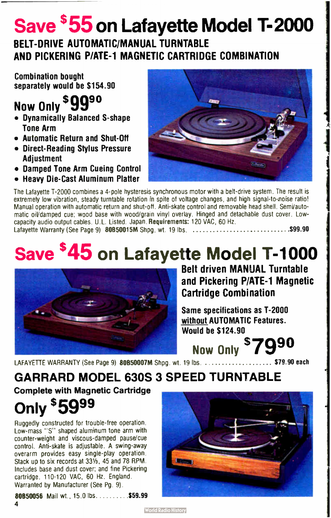# Save  $$55$  on Lafayette Model T-2000

## BELT- DRIVE AUTOMATIC/MANUAL TURNTABLE AND PICKERING P/ATE-1 MAGNETIC CARTRIDGE COMBINATION

Combination bought separately would be \$154.90

# Now Only \$9990

- Dynamically Balanced S- shape Tone Arm
- Automatic Return and Shut-Off
- Direct- Reading Stylus Pressure Adjustment
- Damped Tone Arm Cueing Control
- Heavy Die- Cast Aluminum Platter



The Lafayette T-2000 combines a 4-pole hysteresis synchronous motor with a belt-drive system. The result is extremely low vibration, steady turntable rotation in spite of voltage changes, and high signal-to-noise ratio! Manual operation with automatic return and shut-off. Anti- skate control and removable head shell. SemVautomatic oiVdamped cue; wood base with wood/grain vinyl overlay. Hinged and detachable dust cover. Lowcapacity audio output cables. U.L. Listed. Japan. Requirements: 120 VAC, 60 Hz. Lafayette Warranty ( See Page 9) 80850015M Shpg. wt. 19 lbs. \$99.90

# Save <sup>\$45</sup> on Lafayette Model T-1000



Belt driven MANUAL Turntable and Pickering P/ATE-1 Magnetic Cartridge Combination

Same specifications as T-2000 without AUTOMATIC Features. Would be S124.90

Now Only \$7990 LAFAYETTE WARRANTY (See Page 9) 80B50007M Shpg. wt. 19 lbs.  $\ldots$ ...................\$79.90 each

# GARRARD MODEL 630S 3 SPEED TURNTABLE

Complete with Magnetic Cartridge

Only \$5999

Ruggedly constructed for trouble- free operation. Low-mass "S" shaped aluminum tone arm with counter-weight and viscous- damped pause/cue control. Anti-skate is adjustable. A swing-away overarm provides easy single-play operation. Stack up to six records at 331/3, 45 and 78 RPM. Includes base and dust cover; and fine Pickering cartridge. 110-120 VAC, 60 Hz. England. Warranted by Manufacturer (See Pg. 9).

80850056 Mail wt., 15.0 lbs. . . . . . . . . . \$59.99 4



**World Radio History**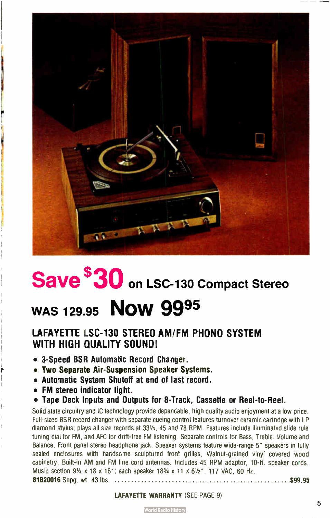

# Save  $\$30$  on LSC-130 Compact Stereo

# WAS 129.95 **Now 9995**

#### LAFAYETTE LSC-130 STEREO AM/FM PHONO SYSTEM WITH HIGH QUALITY SOUND!

- 3- Speed BSR Automatic Record Changer.
- Two Separate Air- Suspension Speaker Systems.
- Automatic System Shutoff at end of last record.
- FM stereo indicator light.
- Tape Deck Inputs and Outputs for 8-Track, Cassette or Reel-to-Reel.

Solid state circuitry and IC technology provide dependable, high quality audio enjoyment at a low price. Full-sized BSR record changer with separate cueing control features turnover ceramic cartridge with LP diamond stylus; plays all size records at 331/<sub>3</sub>, 45 and 78 RPM. Features include illuminated slide rule tuning diaL for FM, and AFC for drift- free FM listening Separate controls for Bass, Treble, Volume and Balance. Front panel stereo headphone jack. Speaker systems feature wide-range 5" speakers in fully sealed enclosures with handsome sculptured front grilles. Walnut-grained vinyl covered wood cabinetry. Built-in AM and FM line cord antennas. Includes 45 RPM adaptor, 10-ft. speaker cords. Music section 91/2 x 18 x 16"; each speaker 183/4 x 11 x 61/2", 117 VAC, 60 Hz.

81820016 Shpg. wt. 43 lbs. \$99.95

#### **LAFAYETTE WARRANTY (SEE PAGE 9)**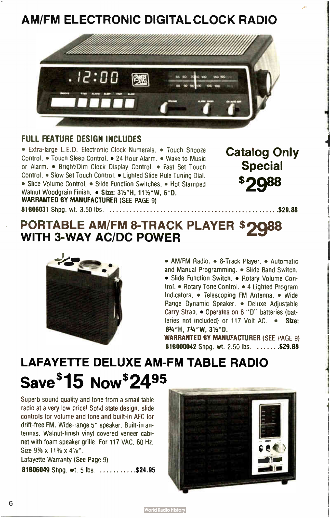## AM/FM ELECTRONIC DIGITAL CLOCK RADIO



#### FULL FEATURE DESIGN INCLUDES

• Extra-large L.E.D. Electronic Clock Numerals. • Touch Snooze **Catalog Only** Control. • Touch Sleep Control. • 24 Hour Alarm. • Wake to Music or Alarm. • Bright/Dim Clock Display Control. • Fast Set Touch Special Control. • Slow Set Touch Control. • Lighted Slide Rule Tuning Dial. • Slide Volume Control. • Slide Function Switches. • Hot Stamped Walnut Woodgrain Finish. • Size: 31/2"H, 111/2"W, 6"D. WARRANTED BY MANUFACTURER (SEE PAGE 9) 81806031 Shpg. wt. 3.50 lbs. 529.88 1

"i.

## PORTABLE AM/FM 8-TRACK PLAYER \$2088 WITH 3-WAY AC/DC POWER



• AM/FM Radio. • 8-Track Player. • Automatic and Manual Programming. • Slide Band Switch. • Slide Function Switch. • Rotary Volume Control. • Rotary Tone Control. • 4 Lighted Program Indicators. • Telescoping FM Antenna. • Wide Range Dynamic Speaker. • Deluxe Adjustable Carry Strap. • Operates on 6 "D" batteries (batteries not included) or 117 Volt AC. • Size: 8%"H. 7%"W. 31/2"D.

WARRANTED BY MANUFACTURER (SEE PAGE 9) 818000042 Shpg. wt. 2.50 lbs.  $\dots \dots$ .\$29.88

# LAFAYETTE DELUXE AM-FM TABLE RADIO SaVe \$ 15 NOW\$24<sup>95</sup>

Superb sound quality and tone from a small table radio at a very low price! Solid state design, slide controls for volume and tone and built-in AFC for drift-free FM. Wide-range 5" speaker. Built-in antennas. Walnut- finish vinyl covered veneer cabinet with foam speaker grille. For 117 VAC, 60 Hz, Size  $9\frac{7}{8} \times 11\frac{3}{8} \times 4\frac{1}{8}$ ".

Lafayette Warranty ( See Page 9)

81B06049 Shpg. wt. 5 lbs. ...........\$24.95

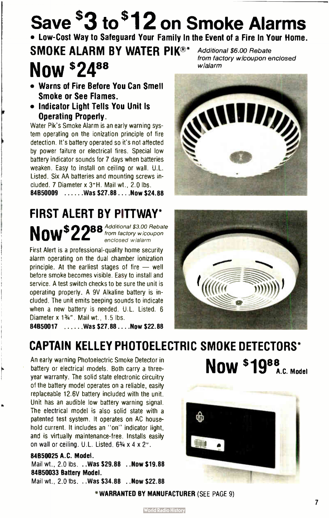# Save  $$3$$  to  $$12$  on Smoke Alarms • Low- Cost Way to Safeguard Your Family In the Event of a Fire In Your Home.

SMOKE ALARM BY WATER PIK®\* Now \$2488 Additional \$6.00 Rebate wialarm

- Warns of Fire Before You Can Smell Smoke or See Flames.
- Indicator Light Tells You Unit Is Operating Properly.

Water Pik's Smoke Alarm is an early warning system operating on the ionization principle of fire detection. It's battery operated so it's not affected by power failure or electrical fires. Special low battery indicator sounds for 7 days when batteries weaken. Easy to install on ceiling or wall. U.L. Listed. Six AA batteries and mounting screws included. 7 Diameter x 3"H. Mail wt., 2.0 lbs 84B50009 ...... Was \$27.88 ... Now \$24.88

## FIRST ALERT BY PITTWAY\*  $N$ nul $$22^{88}$  Additional \$3.00 Rebate enclosed wlalarm

First Alert is a professional- quality home security alarm operating on the dual chamber ionization principle. At the earliest stages of fire — well before smoke becomes visible. Easy to install and service. A test switch checks to be sure the unit is operating properly. A 9V Alkaline battery is included. The unit emits beeping sounds to indicate when a new battery is needed. U.L. Listed. 6 Diameter x 1%". Mail wt., 1.5 lbs.

84B50017 ......Was \$27.88....Now \$22.88

## CAPTAIN KELLEY PHOTOELECTRIC SMOKE DETECTORS\*

An early warning Photoelectric Smoke Detector in battery or electrical models. Both carry a threeyear warranty. The solid state electronic circuitry of the battery model operates on a reliable, easily replaceable 12.6V battery included with the unit. Unit has an audible low battery warning signal. The electrical model is also solid state with a patented test system. It operates on AC household current. It includes an "on" indicator light, and is virtually maintenance-free. Installs easily on wall or ceiling. U.L. Listed. 63/4 x 4 x 2".

#### 84850025 A.C. Model.

Mail wt., 2.0 lbs. . . Was \$29.88 . . Now \$19.88 84850033 Battery Model.

Mail wt., 2.0 lbs. . . Was \$34.88 . . Now \$22.88

WARRANTED BY MANUFACTURER ( SEE PAGE 91









Now \$1988. Model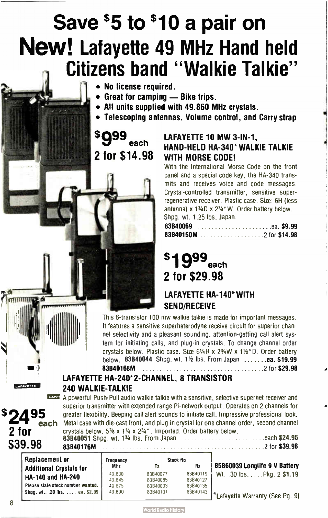# Save \$5 to \$10 a pair on New! Lafayette 49 MHz Hand held Citizens band " Walkie Talkie"

- No license required.
- Great for camping Bike trips.
- All units supplied with 49.860 MHz crystals.
- Telescoping antennas, Volume control, and Carry strap

 $$999_{\sf{each}}$$ 2 for \$14.98

LAFAYETTE 10 MW 3-IN-1. HAND-HELD HA-340\*WALKIE TALKIE WITH MORSE CODE!

With the International Morse Code on the front panel and a special code key, the HA-340 transmits and receives voice and code messages. Crystal- controlled transmitter, sensitive superregenerative receiver. Plastic case. Size: 6H ( less antenna)  $x 1\frac{3}{4}D x 2\frac{3}{4}W$ . Order battery below. Shpg. wt. 1.25 lbs. Japan.

| 83B40069 |  |  |  |  |  |  |  |  |  |  |  |  |  |  |  |
|----------|--|--|--|--|--|--|--|--|--|--|--|--|--|--|--|
|          |  |  |  |  |  |  |  |  |  |  |  |  |  |  |  |

4

# \$1999<sub>each</sub> 2 for \$29.98

#### LAFAYETTE HA-140\*WITH SEND/RECEIVE

This 6- transistor 100 mw walkie talkie is made for important messages. It features a sensitive superheterodyne receive circuit for superior channel selectivity and a pleasant sounding, attention- getting call alert system for initiating calls, and plug-in crystals. To change channel order crystals below. Plastic case. Size 61/<sup>4</sup> H x 23/<sup>4</sup> W x 11/<sup>2</sup> "D. Order battery below. 83B40044 Shpg. wt.  $1\frac{1}{2}$  ibs. From Japan  $\dots \dots$ ea. \$19.99 831340168M 2 for \$29.98

#### LAFAYETTE HA-240\*2-CHANNEL, 8 TRANSISTOR 240 WALKIE-TALKIE

r= A powerful Push- Pull audio walkie talkie with a sensitive, selective superhet receiver and superior transmitter with extended range Pi- network output. Operates on 2 channels for **\$2495** greater flexibility. Beeping call alert sounds to initiate call. Impressive professional look.<br>**\$2495** each Metal case with die-cast front, and plug in crystal for one channel order, second channel **2 for** crystals below,  $5\%$  x  $1\%$  x  $2\%$ ". Imported. Order battery below. 83B40051 Shpg. wt. each \$24.95

|         | <b>BOD4UUJI SIIPU, WL. 1% IDS. FIUIII JAPAII</b> | . GAUIL <b>JAM.JU</b> |
|---------|--------------------------------------------------|-----------------------|
| \$39.98 | 83B40176M                                        | 2 for \$39.98         |

| Replacement or                    | Frequency  | <b>Stock No</b> |          |                                                           |
|-----------------------------------|------------|-----------------|----------|-----------------------------------------------------------|
| <b>Additional Crystals for</b>    | <b>MHz</b> | Tχ              | Rx       | 85B60039 Longlife 9 V Battery                             |
|                                   | 49.830     | 83B40077        | 83B40119 | Wt. .30 lbs. Pkg. 2 \$1.19                                |
| HA-140 and HA-240                 | 49.845     | 83B40085        | 83B40127 |                                                           |
| Please state stock number wanted. | 49 875     | 83B40093        | 83B40135 |                                                           |
| Shpq. wt., .20 lbs.  ea. \$2.99   | 49.890     | 83B40101        |          | $83B40143$ $\vert * \vert$ Lafavette Warranty (See Pg. 9) |

lull

**AFAVETTE**  $=$ 

t<del>hermannicus</del>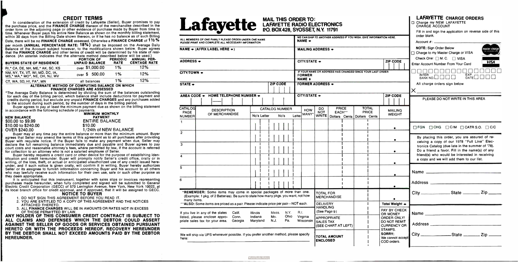#### CREDIT TERMS

In consideration of the extension of credit by Lafayette ( Seller), Buyer promises to pay the purchase price, and the FINANCE CHARGE thereon of the merchandise described in the order form on the adjoining page or other evidence of purchase made by Buyer from time to time. Whenever Buyer pays his entire New Balance as shown on the monthly billing statement, within 30 days from the Billing Date shown thereon, or if he has no balance as of such Billing Date, there will be no FINANCE CHARGE assessed. Otherwise a FINANCE CHARGE of  $1\frac{1}{2}\%$ 

per month (ANNUAL PERCENTAGE RATE: 18%) shall be imposed on the Average Daily Balance of the Account subject however, to the modifications shown below. Buyer agrees that the FINANCE CHARGE and other terms of credit will be determined by his state of residence. ( An asterisk indicates that the alternate method described below will be used.)

> MINIMUM MONTHLY PAYMENT **ENTIRE BALANCE** 1/24th of NEW BALANCE

| <b>BUYERS STATE OF RESIDENCE</b>                                 | <b>PORTION OF</b><br><b>UNPAID BALANCE</b> | <b>PERIODIC</b><br><b>RATE</b> | <b>ANNUAL PER-</b><br><b>CENTAGE RATE</b> |
|------------------------------------------------------------------|--------------------------------------------|--------------------------------|-------------------------------------------|
| RI.* CA, DE, NH, ME.* AK, SC, KS                                 | over \$1,000.00                            | 1%                             | 12%                                       |
| NM, NY, TX, VT, WI, MD, DC, IA,<br>MS.* MA.* MO*, NE, OH, NJ, WV | over \$500.00                              | 1%                             | 12%                                       |
| CT, WA, SD, HI, PA*, MN                                          | all balances                               | 1%<br>.                        | 12%                                       |

#### ALTERNATE METHOD OF COMPUTING BALANCE ON WHICH FINANCE CHARGES ARE ASSESSED

\*The Average Daily Balance is determined by dividing the sum of the balances outstanding for each day of the billing period, which balance shall include deductions for payment and credits during period, but exclude any unpaid FINANCE CHARGES and any purchases added to the account during such period, by the number of days in the billing period.

Buyer agrees to pay at least the minimum payment due as shown on the billing statement in accordance with the following schedule of payments.

| <b>NEW BALANCE</b>   | PAY           |
|----------------------|---------------|
| \$00.00 to \$9.99    | <b>ENTIRE</b> |
| \$10.00 to \$240.00  | \$10.00       |
| <b>OVER \$240.00</b> | $1/24$ th c   |

Buyer may at any time pay the entire balance or more than the minimum amount. Buyer agrees that Seller may amend the terms of this agreement as to all purchases after providing Buyer with requisite notice. If the Buyer fails to make any payment when due, Seller may declare the full remaining balance immediately due and payable and Buyer agrees to pay court costs and reasonable attorney's fees, where permitted by law, if the account is referred for collection to an attorney who is not a salaried employee of Seller.

Buyer hereby requests a credit card or other device for the purpose of establishing identification and credit hereunder. Buyer will promptly notify Seller's credit office, orally or in writing, of the loss, theft, or actual or anticipated unauthorized use of any credit issued hereunder, and if such notice is given orally, will confirm it in writing. Buyer hereby authorizes Seller or its assignee to furnish information concerning Buyer and his account to all others who may lawfully receive such information for their own use, sale or such other purpose as they deem appropriate.

It is anticipated that this instrument, together with sales slips or invoices representing purchases made hereunder, when fully completed and signed will be submitted to General Electric Credit Corporation ( GECC) of 570 Lexington Avenue, New York, New York 10022, at its local branch office for credit approval, and if approved, that it will be assigned to GECC. NOTICE TO BUYER

- 1. DO NOT SIGN THIS AGREEMENT BEFORE YOU READ IT.
- 2. YOU ARE ENTITLED TO A COPY OF THIS AGREEMENT AND THE NOTICES ATTACHED THERETO.
- 3. ALL FINANCE CHARGES WILL BE IN AMOUNTS OR RATES NOT IN EXCESS OF THOSE PERMITTED BY LAW.

ANY HOLDER OF THIS CONSUMER CREDIT CONTRACT IS SUBJECT TO ALL CLAIMS AND DEFENSES WHICH THE DEBTOR COULD ASSERT AGAINST THE SELLER OF GOODS OR SERVICES OBTAINED PURSUANT HERETO OR WITH THE PROCEEDS HEREOF. RECOVERY HEREUNDER BY THE DEBTOR SHALL NOT EXCEED AMOUNTS PAID BY THE DEBTOR HEREUNDER.

# P.U. BOX 428, SYOSSE I, N.Y. 11791

| Lafayette LAFAYETTE RADIO ELECTRONICS                                                                                                                       |                     |                       |                 |                                 |          |                                                                                      |                                                    |                                           |  |  |                              |                                                                               | <b>LAFAYETTE CHARGE ORDERS</b><br>Charge my NEW LAFAYETTE<br><b>CHARGE ACCOUNT</b><br>Fill in and sign the application on reverse side of this |  |  |                                                                                     |  |  |                                                                                 |
|-------------------------------------------------------------------------------------------------------------------------------------------------------------|---------------------|-----------------------|-----------------|---------------------------------|----------|--------------------------------------------------------------------------------------|----------------------------------------------------|-------------------------------------------|--|--|------------------------------|-------------------------------------------------------------------------------|------------------------------------------------------------------------------------------------------------------------------------------------|--|--|-------------------------------------------------------------------------------------|--|--|---------------------------------------------------------------------------------|
| ALL MEMBERS OF ONE FAMILY PLEASE ORDER UNDER ONE NAME<br>PLEASE PRINT AND COMPLETE ALL NECESSARY INFORMATION                                                |                     |                       |                 |                                 |          | NAME $\div$                                                                          |                                                    |                                           |  |  |                              | WE CAN SHIP TO ANOTHER ADDRESS IF YOU WISH. GIVE INFORMATION HERE.            | order blank.                                                                                                                                   |  |  |                                                                                     |  |  |                                                                                 |
| NAME $\div$ (AFFIX LABEL HERE $\div$ )                                                                                                                      |                     |                       |                 |                                 |          |                                                                                      |                                                    |                                           |  |  |                              |                                                                               | <b>MAILING ADDRESS +</b>                                                                                                                       |  |  | <b>NOTE:</b> Sign Order Below<br>naster charg<br>Charge to my Master Charge or VISA |  |  |                                                                                 |
| ADDRESS $\div$                                                                                                                                              |                     |                       |                 | CITY/STATE +<br><b>ZIP CODE</b> |          |                                                                                      |                                                    |                                           |  |  |                              |                                                                               |                                                                                                                                                |  |  |                                                                                     |  |  | Check One: □ M. C. □ VISA<br><b>VISA</b><br>Enter Account Number From Your Card |
| CITY/TOWN +                                                                                                                                                 |                     |                       |                 |                                 |          | IF YOUR NAME OR ADDRESS HAS CHANGED SINCE YOUR LAST ORDER<br><b>FORMER</b><br>NAME + |                                                    |                                           |  |  |                              | 00000000000<br>$E_{\text{ATE}}^{E\times P}$<br><b>INTER</b><br>BANK NO. O O O |                                                                                                                                                |  |  |                                                                                     |  |  |                                                                                 |
| STATE +                                                                                                                                                     |                     |                       | <b>ZIP CODE</b> |                                 |          |                                                                                      | <b>FORMER ADDRESS +</b>                            |                                           |  |  |                              |                                                                               | All charge orders sign below                                                                                                                   |  |  |                                                                                     |  |  |                                                                                 |
| AREA CODE - HOME TELEPHONE NUMBER -                                                                                                                         |                     |                       |                 |                                 |          | CITY/STATE -                                                                         |                                                    |                                           |  |  |                              | <b>ZIP CODE</b>                                                               | PLEASE DO NOT WRITE IN THIS AREA                                                                                                               |  |  |                                                                                     |  |  |                                                                                 |
| <b>CATALOG</b><br><b>DESCRIPTION</b><br><b>PAGE</b><br>OF MERCHANDISE                                                                                       |                     | <b>CATALOG NUMBER</b> |                 |                                 |          | <b>HOW</b><br>MANY*                                                                  | DO.<br><b>NOT</b>                                  | <b>PRICE</b><br>EACH**                    |  |  | <b>TOTAL</b><br><b>PRICE</b> | <b>MAILING</b><br><b>WEIGHT</b>                                               |                                                                                                                                                |  |  |                                                                                     |  |  |                                                                                 |
| <b>NUMBER</b><br>1.                                                                                                                                         | No's Letter         |                       | No's            |                                 | Letter   |                                                                                      |                                                    | WRITE   Dollars Cents   Dollars Cents     |  |  |                              |                                                                               |                                                                                                                                                |  |  |                                                                                     |  |  |                                                                                 |
|                                                                                                                                                             |                     |                       |                 |                                 |          |                                                                                      |                                                    |                                           |  |  |                              | $\bullet$                                                                     | $\Box$ FGN $\Box$ CHG $\Box$ C/M $\Box$ CATR S.O. $\Box$ C/C                                                                                   |  |  |                                                                                     |  |  |                                                                                 |
| $\overline{2}$                                                                                                                                              |                     |                       |                 |                                 |          |                                                                                      |                                                    |                                           |  |  |                              | ٠                                                                             | By placing this order, you are assured of re-<br>ceiving a copy of our 1978 "Full Line" Elec-                                                  |  |  |                                                                                     |  |  |                                                                                 |
| 3                                                                                                                                                           |                     |                       |                 |                                 |          |                                                                                      |                                                    |                                           |  |  |                              |                                                                               | tronics Catalog (due late in the summer of '78).<br>Do a friend a favor. Fill in the name(s) of any                                            |  |  |                                                                                     |  |  |                                                                                 |
| 4                                                                                                                                                           |                     |                       |                 |                                 |          |                                                                                      |                                                    |                                           |  |  |                              | $\bullet$                                                                     | friend(s) who would be interested in receiving<br>a copy and we will add them to our list.                                                     |  |  |                                                                                     |  |  |                                                                                 |
| 5                                                                                                                                                           |                     |                       |                 |                                 |          |                                                                                      |                                                    |                                           |  |  |                              | $\bullet$                                                                     |                                                                                                                                                |  |  |                                                                                     |  |  |                                                                                 |
| 6                                                                                                                                                           |                     |                       |                 |                                 |          |                                                                                      |                                                    |                                           |  |  |                              | ٠                                                                             |                                                                                                                                                |  |  |                                                                                     |  |  |                                                                                 |
| *REMEMBER: Some items may come in special packages of more than one.<br>(Example: 1 pkg. of 2 Batteries). Be sure to state how many pkgs. you want, not how |                     |                       |                 |                                 |          |                                                                                      | <b>TOTAL FOR</b>                                   | <b>MERCHANDISE</b>                        |  |  |                              |                                                                               | City _________________State ___________ Zip _______                                                                                            |  |  |                                                                                     |  |  |                                                                                 |
| many items.<br>** ALSO: Some items are priced as a pair. Please indicate price per pair-NOT each.<br>If you live in any of the states<br>Calif.             | <b>Illinois</b>     | Mass.                 |                 | N.Y.                            | $R, l_n$ |                                                                                      | <b>DELIVERY</b><br><b>HANDLING</b><br>(See Page 9) |                                           |  |  |                              | Total Weight $\bullet$<br>PAY BY CHECK                                        |                                                                                                                                                |  |  |                                                                                     |  |  |                                                                                 |
| listed, please enclose appro-<br>Conn.<br>priate sales tax for your area.<br>Georgia                                                                        | Indiana<br>Maryland | Mo.<br>N.J.           |                 | Ohio<br>Pa.                     |          | Virginia<br>Wisconsin                                                                | <b>SALES TAX</b>                                   | <b>APPROPRIATE</b><br>(SEE CHART AT LEFT) |  |  |                              | OR MONEY<br><b>ORDER ONLY!</b><br>DO NOT REMIT<br><b>CURRENCY OR</b>          |                                                                                                                                                |  |  |                                                                                     |  |  |                                                                                 |
| We will ship via UPS whenever possible. If you prefer another method, please specify<br>here:                                                               |                     |                       |                 |                                 |          |                                                                                      | <b>ENCLOSED</b>                                    | <b>TOTAL AMOUNT</b>                       |  |  |                              | STAMPS.<br>SORRY:<br>We cannot accept<br>COD orders.                          |                                                                                                                                                |  |  |                                                                                     |  |  |                                                                                 |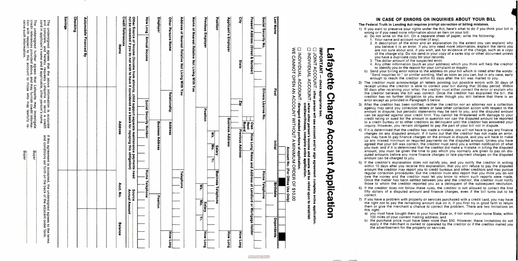3. The dollar amount of the suspected error.

other information (such as your address) which you think will help the creditor entify you or the reason for your complaint or inquiry.

 $\mathsf{out}$  billing error notice to the address on your bill which is listed after the words: nquiries to:" or similar wording. Mail as soon as you can, but in any case, early to reach the creditor within 60 days after the bill was mailed to you.

or must acknowledge all letters pointing out possible errors with 30 days of ess the creditor is able to correct your bill during that 30-day period. Within er receiving your letter, the creditor must either correct the error or explain why the creditor believes the bill was correct. Once the creditor has explained the bill, the as no further obligation to you even though you still believe that there is an t as provided in Paragraph 5 below.

editor has been notified, neither the creditor nor an attorney nor a collection  $\alpha$  send you collection letters or take other collection action with respect to the dispute; but periodic statements may be sent to you, and the disputed amount plied against your credit limit. You cannot be threatened with damage to your credit rating or sued for the amount in question nor can the disputed amount be reported bureau or to other creditors as delinquent until the creditor has answered your wever, you remain obligated to pay the part of your bill not in dispute.

mined that the creditor has made a mistake, you will not have to pay any finance any disputed amount. If it turns out that the creditor has not made an error, ye to pay finance charges on the amount in dispute, and you will have to make sed minimum or required payments on the disputed amount. Unless you have your bill was correct, the creditor must send you a written notification of what id if it is determined that the creditor did make a mistake in billing the disputed ou must be given the time to pay which you normally are given to pay on disunts before any more finance charges or late payment charges on the disputed be charged to you.

tor's explanation does not satisfy you, and you notify the creditor in writing ays after you receive this explanation, that you still refuse to pay the disputed creditor may report you to credit bureaus and other creditors and may pursue lection procedures. But the creditor must also report that you think you do not oney and the creditor must let you know to whom such reports were made. atter has been settled between you and the creditor, the creditor must notify hom the creditor reported you as a delinguent of the subsequent resolution. for does not follow these rules, the creditor is not allowed to collect the first of a disputed amount and finance charges, even if the bill turns out to be

a problem with property or services purchased with a credit card, you may have ot to pay the remaining amount due on it, if you first try in good faith to return the merchant a chance to correct the problem. There are two limitations on

st have bought them in your home State or, if not within your home State, within es of your current mailing address; and

hase price must have been more than \$50. However, these limitations do not the merchant is owned or operated by the creditor or if the creditor mailed you ertisement for the property or services.

| If this agreement is accepted, the undersigned agrees to the terms<br>and conditions set forth on the back of the adjacent order form.                                                                                                                                                       | Buyer                                                                                                                                                                                                                                                      | The undersigned further agrees that Lafayette may investigate<br>credit references provided above, and may furnish credit informa-<br>tion with respect to this account to those who may lawfully re-<br>The undersigned agrees that the above information is accurate<br>and complete, and hereby requests Lafayette to send a credit<br>card in applicant's name and if applicable, other person's name.<br>The |
|----------------------------------------------------------------------------------------------------------------------------------------------------------------------------------------------------------------------------------------------------------------------------------------------|------------------------------------------------------------------------------------------------------------------------------------------------------------------------------------------------------------------------------------------------------------|-------------------------------------------------------------------------------------------------------------------------------------------------------------------------------------------------------------------------------------------------------------------------------------------------------------------------------------------------------------------------------------------------------------------|
|                                                                                                                                                                                                                                                                                              |                                                                                                                                                                                                                                                            | <b>Savings</b>                                                                                                                                                                                                                                                                                                                                                                                                    |
|                                                                                                                                                                                                                                                                                              |                                                                                                                                                                                                                                                            | <b>Checking</b>                                                                                                                                                                                                                                                                                                                                                                                                   |
|                                                                                                                                                                                                                                                                                              |                                                                                                                                                                                                                                                            | <b>Automobile</b><br><b>Financed</b><br>ভ্ৰ                                                                                                                                                                                                                                                                                                                                                                       |
|                                                                                                                                                                                                                                                                                              |                                                                                                                                                                                                                                                            |                                                                                                                                                                                                                                                                                                                                                                                                                   |
| <b>Acct. No</b><br><b>Balance</b>                                                                                                                                                                                                                                                            | <b>Address</b>                                                                                                                                                                                                                                             | Name                                                                                                                                                                                                                                                                                                                                                                                                              |
|                                                                                                                                                                                                                                                                                              |                                                                                                                                                                                                                                                            | <b>Credit Reference</b>                                                                                                                                                                                                                                                                                                                                                                                           |
| Source<br>Annual Amount -                                                                                                                                                                                                                                                                    | Other Source of Income (Income from alimony, child support separate maintenance payments need<br>not be revealed if you do not wish to have it considered as a basis for repaying this obligation)                                                         |                                                                                                                                                                                                                                                                                                                                                                                                                   |
| Home<br>Telephone                                                                                                                                                                                                                                                                            | Social Security<br>Numbe                                                                                                                                                                                                                                   | <b>How Long</b><br><b>Annual Income</b>                                                                                                                                                                                                                                                                                                                                                                           |
| Position                                                                                                                                                                                                                                                                                     | <b>Business Address</b>                                                                                                                                                                                                                                    | Employer                                                                                                                                                                                                                                                                                                                                                                                                          |
| How<br><br><b>Duo</b>                                                                                                                                                                                                                                                                        | Relationship<br>Address                                                                                                                                                                                                                                    | Other Persons Name                                                                                                                                                                                                                                                                                                                                                                                                |
| Telephone                                                                                                                                                                                                                                                                                    |                                                                                                                                                                                                                                                            | Address of Nearest Relative Not Living With You                                                                                                                                                                                                                                                                                                                                                                   |
|                                                                                                                                                                                                                                                                                              |                                                                                                                                                                                                                                                            | Name of Nearest Relative Not Living With You                                                                                                                                                                                                                                                                                                                                                                      |
| $\mathbf{M}$<br>휘<br><b>Salary</b><br>$\leq$<br>How<br>Гon<br>6                                                                                                                                                                                                                              | Position                                                                                                                                                                                                                                                   | <b>Previous Employer</b>                                                                                                                                                                                                                                                                                                                                                                                          |
| <b>Business</b><br>Telephone                                                                                                                                                                                                                                                                 | $\overline{\mathbf{z}}$<br>$\mathbf{F}$<br>Salary<br>学                                                                                                                                                                                                     | Position                                                                                                                                                                                                                                                                                                                                                                                                          |
| <b>How Long</b>                                                                                                                                                                                                                                                                              | <b>Business Address</b>                                                                                                                                                                                                                                    | <b>Applicant's Employer</b>                                                                                                                                                                                                                                                                                                                                                                                       |
| 흮<br>$\frac{5}{2}$                                                                                                                                                                                                                                                                           | 요                                                                                                                                                                                                                                                          | 읿<br>State                                                                                                                                                                                                                                                                                                                                                                                                        |
| <b>Address</b><br>$\mathbf{Q}$<br><b>Landlord</b><br>å<br>2<br>lortgage<br>Holder                                                                                                                                                                                                            | Jown<br>  Rent<br>  Board<br>  Previous Address<br>Name<br>and                                                                                                                                                                                             | Present<br><b>Address</b><br>(Street<br>ନ୍ତ<br>Number)                                                                                                                                                                                                                                                                                                                                                            |
| Home<br>Telephone                                                                                                                                                                                                                                                                            | <b>Drivers</b><br>License<br>$\frac{2}{9}$                                                                                                                                                                                                                 | Social Security<br>$\frac{2}{5}$                                                                                                                                                                                                                                                                                                                                                                                  |
| <b>Birthdate</b><br>Dependents                                                                                                                                                                                                                                                               | First<br>Initial                                                                                                                                                                                                                                           | <b>Last Name</b>                                                                                                                                                                                                                                                                                                                                                                                                  |
| <b>Qnly</b>                                                                                                                                                                                                                                                                                  | Account No. (For Office Use                                                                                                                                                                                                                                |                                                                                                                                                                                                                                                                                                                                                                                                                   |
|                                                                                                                                                                                                                                                                                              | WE CANNOT OPEN AN ACCOUNT MINIMIMUM ORDER OF \$10.00<br>□ INDIVIDUAL ACCOUNT: distegard shaded portions of application:                                                                                                                                    |                                                                                                                                                                                                                                                                                                                                                                                                                   |
|                                                                                                                                                                                                                                                                                              | □ INDIVIDUAL ACCOUNT: where other person's income and assets will be relied upon to establish<br>complete entire application.                                                                                                                              |                                                                                                                                                                                                                                                                                                                                                                                                                   |
|                                                                                                                                                                                                                                                                                              | $\Box$ JOINT ACCOUNT: other person will use account and/or sign agreement complete entire application.<br>check appropriate box.                                                                                                                           | IMPORTANT                                                                                                                                                                                                                                                                                                                                                                                                         |
| <b>Applicatic</b><br>$\leq$                                                                                                                                                                                                                                                                  | <b>Charge</b><br>Account                                                                                                                                                                                                                                   | afayette                                                                                                                                                                                                                                                                                                                                                                                                          |
|                                                                                                                                                                                                                                                                                              |                                                                                                                                                                                                                                                            |                                                                                                                                                                                                                                                                                                                                                                                                                   |
| 5) If the credit<br>within 10 da<br>amount the<br>regular coll<br>owe the m<br>Once the m<br>those to wh<br>6) If the credit<br>fifty dollars<br>correct.<br>7) If you have<br>the right no<br>them or given<br>this right:<br>a) you mus<br>100 mile<br>b) the purc<br>apply if<br>the adve | After the cr<br>3)<br>Alter the cri-<br>agency may<br>amount in c<br>can be app<br>credit rating<br>to a credit inquiry. How<br>4) If it is deter<br>this december<br>charges on<br>you may has<br>agreed that<br>you owe; are<br>amount can<br>amount can | The Federal Tru<br>The Federal Tru<br>1) If you want<br>2. A de:<br>2. A de:<br>2. A de:<br>2. A de:<br>2. A de:<br>2. A de:<br>2. A de:<br>2. A de:<br>2. A de:<br>2. A de:<br>2. The conduction<br>3. The conduction<br>2. Send in enough<br>2. The credito<br>2. The credito<br>                                                                                                                               |
|                                                                                                                                                                                                                                                                                              |                                                                                                                                                                                                                                                            | $\blacksquare$                                                                                                                                                                                                                                                                                                                                                                                                    |

**World Radio History** 

#### CASE OF ERRORS OR INQUIRIES ABOUT YOUR BILL

#### The Federal Truth in Lending act requires prompt correction of billing mistakes.

to preserve your rights under the Act, here's what to do if you think your bill is you need more information about an item on your bill:

write on the bill. On a separate sheet of paper, write the following: name and account number (if any).

 $\alpha$  excription of the error and an explanation (to the extent you can explain) why you believe it is an error. If you only need more information, explain the items you and sure about and, if you wish, ask for evidence of the charge, such as a copy s charge slip. Do not send in your copy of a sales slip or other document unless ave a duplicate copy for your records.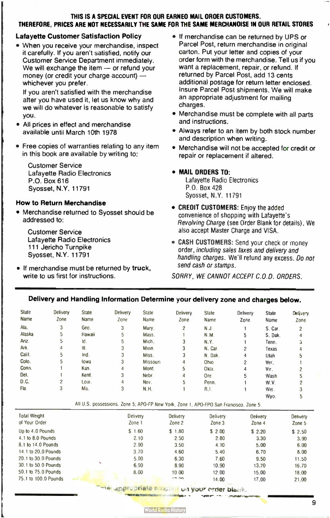#### THIS IS A SPECIAL EVENT FOR OUR EARNED MAIL ORDER CUSTOMERS. THEREFORE, PRICES ARE NOT NECESSARILY THE SAME FOR THE SAME MERCHANDISE IN OUR RETAIL STORES

#### Lafayette Customer Satisfaction Policy

• When you receive your merchandise, inspect it carefully. If you aren't satisfied, notify our Customer Service Department immediately. We will exchange the item  $-$  or refund your money (or credit your charge account)  $$ whichever you prefer.

If you aren't satisfied with the merchandise after you have used it, let us know why and we will do whatever is reasonable to satisfy you.

- All prices in effect and merchandise available until March 10th 1978
- Free copies of warranties relating to any item in this book are available by writing to:

Customer Service Lafayette Radio Electronics P.O. Box 616 Syosset, N.Y. 11791

#### How to Return Merchandise

• Merchandise returned to Syosset should be addressed to:

Customer Service Lafayette Radio Electronics 111 Jericho Turnpike Syosset, N.Y. 11791

• If merchandise must be returned by truck, write to us first for instructions.

- If merchandise can be returned by UPS or Parcel Post, return merchandise in original carton. Put your letter and copies of your order form with the merchandise. Tell us if you want a replacement, repair, or refund. If returned by Parcel Post, add 13 cents additional postage for return letter enclosed. Insure Parcel Post shipments. We will make an appropriate adjustment for mailing charges.
- Merchandise must be complete with all parts and instructions.
- Always refer to an item by both stock number and description when writing.
- Merchandise will not be accepted for credit or repair or replacement if altered.
- MAIL ORDERS TO:

Lafayette Radio Electronics P.O. Box 428 Syosset, N.Y. 11791

- CREDIT CUSTOMERS: Enjoy the added convenience of shopping with Lafayette's Revolving Charge (see Order Blank for details). We also accept Master Charge and VISA.
- CASH CUSTOMERS: Send your check or money order, including sales taxes and delivery and handling charges. We'll refund any excess. Do not send cash or stamps.

WY°.

SORRY, WE CANNOT ACCEPT C.O.D. ORDERS.

#### Delivery and Handling Information Determine your delivery zone and charges below.

| <b>State</b> | Delivery       | State  | Delivery | <b>State</b> | Delivery       | <b>State</b> | Delivery | <b>State</b> | Delivery |
|--------------|----------------|--------|----------|--------------|----------------|--------------|----------|--------------|----------|
| Name         | Zone           | Name   | Zone     | Name         | Zone           | Name         | Zone     | Name         | Zone     |
| Ala.         | 3              | Geo.   | 3        | Mary.        | $\overline{c}$ | N.J.         |          | S. Car.      | 2        |
| Alaska       | 5              | Hawaii | 5        | Mass.        |                | N.M.         | 5        | S. Dak.      | 4        |
| Ariz.        | 5              | Id.    | 5        | Mich.        | 3              | N.Y.         |          | Tenn.        | з        |
| Ark.         | 4              | 排.     | 3        | Minn.        | 3              | N. Car.      | 2        | Texas        |          |
| Calif.       | 5              | Ind.   | 3        | Miss.        | 3              | N. Dak.      | 4        | Utah         | 5        |
| Colo.        | 5              | lowa   | 3        | Missouri     | 4              | Ohio         | 2        | Ver.         |          |
| Conn.        |                | Kan.   | 4        | Mont.        | 5              | Okla.        | 4        | Vir.         | 2        |
| Del.         |                | Kent.  | 3        | Nebr.        | 4              | Ore.         | 5        | Wash.        | 5        |
| D.C.         | $\overline{c}$ | Loui.  | 4        | Nev.         | 5              | Penn.        |          | W.V.         |          |
| Fla.         | 3              | Ma.    | 3        | N.H.         |                | R.I.         |          | Wis.         |          |
|              |                |        |          |              |                |              |          | Wyo.         | 5        |

#### All U.S. possessions, Zone 5; APO-FP New York, Zone 1, APO-FPO San Francisco, Zone 5.

| <b>Total Weight</b><br>of Your Order | Delivery<br>Zone 1 | Delivery<br>Zone 2 | Delivery<br>Zone 3 | Oelivery<br>Zone 4 | Delivery<br>Zone 5 |
|--------------------------------------|--------------------|--------------------|--------------------|--------------------|--------------------|
| Up to 4.0 Pounds                     | \$1.60             | \$1.80             | \$2.00             | \$2.20             | \$2.50             |
| 4.1 to 8.0 Pounds                    | 2.10               | 2.50               | 2.80               | 3.30               | 3.90               |
| 8.1 to 14.0 Pounds                   | 2.90               | 3.50               | 4.10               | 5.00               | 6.00               |
| 14.1 to 20.0 Pounds                  | 3.70               | 4.60               | 5.40               | 6.70               | 8.00               |
| 20.1 to 30.0 Pounds                  | 5.00               | 6.30               | 7.60               | 9.50               | 11.50              |
| 30.1 to 50.0 Pounds                  | 6.90               | 8.90               | 10.90              | 13.70              | 16.70              |
| 50.1 to 75.0 Pounds                  | 8.00               | 10.00              | 12.00              | 15.00              | 18.00              |
| 75.1 to 100.0 Pounds                 |                    | $-9.00$            | 14.00              | 17.00              | 21.00              |

The appropriate Einich ... uit your erder blank.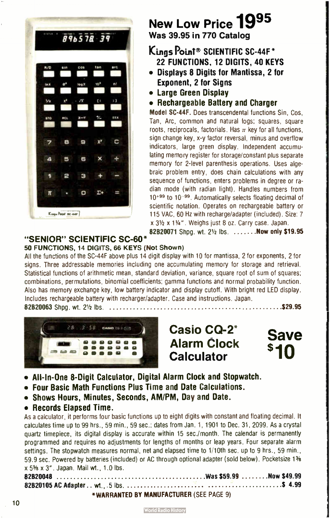

## New Low Price 1995 Was 39.95 in 770 Catalog

#### Kings Point® SCIENTIFIC SC-44F\* 22 FUNCTIONS, 12 DIGITS, 40 KEYS

- Displays 8 Digits for Mantissa, 2 for Exponent, 2 for Signs
- Large Green Display
- Rechargeable Battery and Charger

Model SC-44F. Does transcendental functions Sin, Cos. Tan, Arc, common and natural logs; squares, square roots, reciprocals, factorials. Has  $\pi$  key for all functions, sign change key, x-y factor reversal, minus and overflow indicators, large green display. Independent accumulating memory register for storage/constant plus separate memory for 2-level parenthesis operations. Uses algebraic problem entry, does chain calculations with any sequence of functions, enters problems in degree or radian mode (with radian light). Handles numbers from  $10^{+99}$  to  $10^{-99}$ . Automatically selects floating decimal of scientific notation. Operates on rechargeable battery or 115 VAC, 60 Hz with recharge/adapter ( included). Size: 7 x 31/2 x 11/4". Weighs just 8 oz. Carry case. Japan.

82B20071 Shpg. wt. 21/2 lbs. .......Now only \$19.95

#### "SENIOR" SCIENTIFIC SC-60 50 FUNCTIONS, 14 DIGITS, 66 KEYS ( Not Shown)

All the functions of the SC-44F above plus 14 digit display with 10 for mantissa, 2 for exponents, 2 for signs. Three addressable memories including one accumulating memory for storage and retrieval. Statistical functions of arithmetic mean, standard deviation, variance, square root of sum of squares; combinations, permutations, binomial coefficients; gamma functions and normal probability function. Also has memory exchange key, low battery indicator and display cutoff. With bright red LED display. Includes rechargeable battery with recharger/adapter. Case and instructions. Japan. 82820063 Shpg. wt. 21/<sup>2</sup> lbs. 29.95 \$



Casio CQ-2' Alarm Clock **Calculator** 

Save  $\blacksquare$ 

- All- In- One 8- Digit Calculator, Digital Alarm Clock and Stopwatch.
- Four Basic Math Functions Plus Time and Date Calculations.
- Shows Hours, Minutes, Seconds, AM/PM, Day and Date.
- Records Elapsed Time.

As a calculator, it performs four basic functions up to eight digits with constant and floating decimal. It calculates time up to 99 hrs., 59 min., 59 sec.; dates from Jan. 1, 1901 to Dec. 31, 2099. As a crystal quartz timepiece, its digital display is accurate within 15 sec./month. The calendar is permanently programmed and requires no adjustments for lengths of months or leap years. Four separate alarm settings. The stopwatch measures normal, net and elapsed time to 1/10th sec. up to 9 hrs., 59 min., 59.9 sec. Powered by batteries (included) or AC through optional adapter (sold below). Pocketsize 1% x 5% x 3". Japan. Mail wt., 1.0 lbs. 82820048 Was S59.99 Now \$49.99

82820105 AC Adapter ... wt., . 5 lbs. \$ 4.99 \*WARRANTED BY MANUFACTURER ( SEE PAGE 9)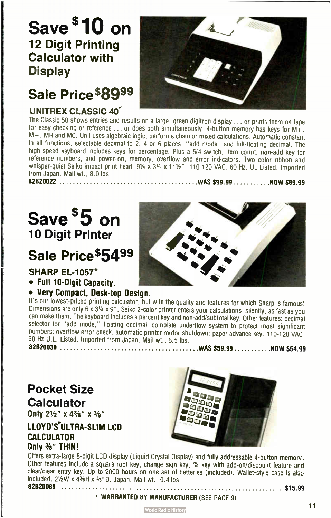# Save \$10 on 12 Digit Printing Calculator with **Display**

# Sale Price\$8999

#### UNITREX CLASSIC 40\*



The Classic 50 shows entries and results on a large, green digitron display ... or prints them on tape for easy checking or reference  $\dots$  or does both simultaneously. 4-button memory has keys for M+, M—, MR and MC. Unit uses algebraic logic, performs chain or mixed calculations. Automatic constant in all functions, selectable decimal to 2, 4 or 6 places, " add mode" and full- floating decimal. The high-speed keyboard includes keys for percentage. Plus a 5/4 switch, item count, non-add key for reference numbers, and power-on, memory, overflow and error indicators. Two color ribbon and whisper-quiet Seiko impact print head. 91/4 x 31/2 x 111/2". 110-120 VAC, 60 Hz. UL Listed. Imported from Japan. Mail wt., 8.0 lbs.

82820022 WAS \$ 99.99 NOW \$89.99

# Save \$5 on 10 Digit Printer

# Sale Price\$5499

#### **SHARP EL-1057\***

- Full 10-Digit Capacity.
- Very Compact, Desk-top Design.

It's our lowest-priced printing calculator, but with the quality and features for which Sharp is famous! Dimensions are only 6 x 3V4 x 9". Seiko 2- color printer enters your calculations, silently, as fast as you can make them. The keyboard includes a percent key and non-add/subtotal key. Other features: decimal selector for "add mode," floating decimal; complete underflow system to protect most significant numbers; overflow error check; automatic printer motor shutdown; paper advance key. 110-120 VAC, 60 Hz U.L. Listed. Imported from Japan. Mail wt., 6.5 lbs. 82820030 WAS \$59.99 NOW \$54.99

## Pocket Size **Calculator**

Only 21/2" x 43/8" x 3/8"

#### LLOYD'S\*ULTRA-SLIM LCD CALCULATOR Only <sup>3</sup>/8" THIN!



Offers extra-large 8-digit LCD display (Liquid Crystal Display) and fully addressable 4-button memory. Other features include a square root key, change sign key, % key with add-on/discount feature and clear/clear entry key. Up to 2000 hours on one set of batteries ( included). Wallet-style case is also included. 82820089 \$ 2½W x 4½H x ½"D. Japan. Mail wt., 0.4 lbs. 15.99

\* WARRANTED BY MANUFACTURER ( SEE PAGE 9)

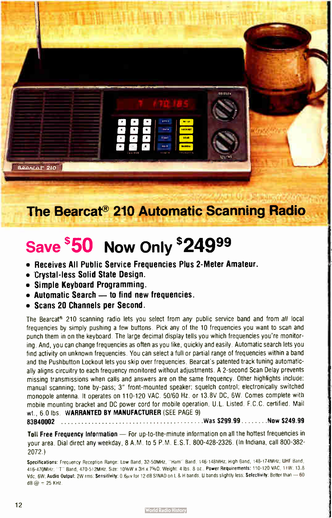

# The Bearcat<sup>®</sup> 210 Automatic Scanning Radio

# Save \$50 Now Only \$24999

- Receives All Public Service Frequencies Plus 2- Meter Amateur.
- Crystal- less Solid State Design.
- Simple Keyboard Programming.
- Automatic Search to find new frequencies.
- Scans 20 Channels per Second.

The Bearcat® 210 scanning radio lets you select from any public service band and from all local frequencies by simply pushing a few buttons. Pick any of the 10 frequencies you want to scan and punch them in on the keyboard. The large decimal display tells you which frequencies you're monitoring. And, you can change frequencies as often as you like, quickly and easily. Automatic search lets you find activity on unknown frequencies. You can select a full or partial range of frequencies within a band and the Pushbutton Lockout lets you skip over frequencies. Bearcat's patented track tuning automatically aligns circuitry to each frequency monitored without adjustments. A 2-second Scan Delay prevents missing transmissions when calls and answers are on the same frequency. Other highlights include: manual scanning; tone by-pass; 3" front- mounted speaker; squelch control; electronically switched monopole antenna. It operates on 110-120 VAC. 50/60 Hz. or 13.8V DC, 6W. Comes complete with mobile mounting bracket and DC power cord for mobile operation. U.L. Listed. F.C.C. certified. Mail wt., 6.0 lbs. WARRANTED BY MANUFACTURER (SEE PAGE 9)

83840002 Was \$ 299.99 Now \$ 249.99

Toll Free Frequency Information — For up-to-the-minute information on all the hottest frequencies in your area. Dial direct any weekday, 8 A.M. to 5 P.M. E.S.T. 800-428-2326. ( In Indiana, call 800-382- 2072.)

Specifications: Frequency Reception Range. Low Band, 32-50MHz, '' Ham" Band. 146-148MHz. High Band, 148-174MHz. UHF Band. 416-470MHz: "T" Band, 470-512MHz: Size: 10%W x 3H x 7%O: Weight: 4 lbs. 8 oz.. Power Requirements: 110-120 VAC, 11W: 13.8 Vdc. 6W; Audio Output: 2W rms; Sensitivity: 0.6 $\mu$ v for 12 dB SINAD on L & H bands, U bands slightly less; Selectivity: Better than - 60  $dB @ = 25$  KHz.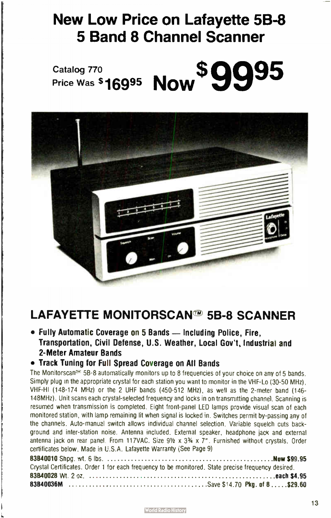# New Low Price on Lafayette 5B-8 5 Band 8 Channel Scanner





## LAFAYETTE MONITORSCAN@' 5B-8 SCANNER

• Fully Automatic Coverage on 5 Bands — Including Police, Fire, Transportaticn, Civil Defense, U.S. Weather, Local Gov't, Industrial and 2- Meter Amateur Bands

#### • Track Tuning for Full Spread Coverage on All Bands

The Monitorscan<sup>es</sup> 58-8 automatically monitors up to 8 frequencies of your choice on any of 5 bands. Simply plug in the appropriate crystal for each station you want to monitor in the VHF-Lo (30-50 MHz). VHF-Hl ( 148-174 MHz) or the 2 UHF bands ( 450-512 MHz), as well as the 2- meter band ( 146- 148MHz). Unit scans each crystal- selected frequency and locks in on transmitting channel. Scanning is resumed when transmission is completed. Eight front- panel LED lamps provide visual scan of each monitored station, with lamp remaining lit when signal is locked in. Switches permit by-passing any of the channels. Auto- manual switch allows individual channel selection. Variable squelch cuts background and inter-station noise. Antenna included. External speaker, headphone jack and external antenna jack on rear panel. From 117VAC. Size  $9\frac{1}{2} \times 3\frac{3}{4} \times 7$ ". Furnished without crystals. Order certificates below. Made in U.S.A. Lafayette Warranty (See Page 9)

| Crystal Certificates. Order 1 for each frequency to be monitored. State precise frequency desired. |
|----------------------------------------------------------------------------------------------------|
|                                                                                                    |
|                                                                                                    |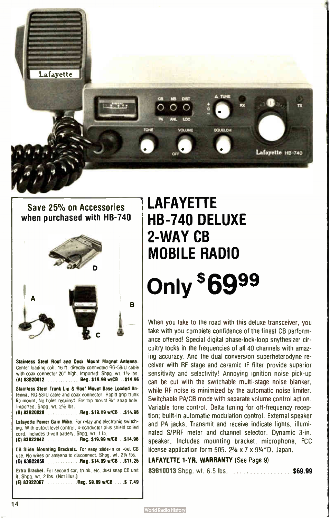

Save 25% on Accessories when purchased with HB-740



Stainless Steel Roof and Deck Mount Magnet Antenna. Center loading coil. 16 ft. directly connected RG-58/U cable with coax connector 20" high. Imported Shpg. wt. 11/2 lbs. (A) 83B20012 Beg. \$19.99 w/CB ..\$14.96

Stainless Steel Trunk Lip & Roof Mount Base Loaded Antenna. RG-58/U cable and coax connector. Rapid grip trunk lip mount. No holes required. For top mount 36" snap hole. Imported. Shpg. WI. 21/<sup>2</sup> lbs.

(8) 83820020 Reg. \$ 19.99 w/CB ..\$ 14.96

Lafayette Power Gain Mike. For relay and electronic switching. With output level control. 4- conductor plus shield coiled cord. Includes 9-volt battery. Shpg. wt. 1 Ia. (C) 83822042 Reg. \$ 19.99 w/CB . .\$14.96

CB Slide Mounting Brackets. For easy slide-in or -out CB use. No wires or antenna to disconnect. Shpg. wt. 21/4 lbs. (D) 83822059 ............Reg. \$14.99 w/CB ..\$11.25

Extra Bracket. For second car, trunk. etc. Just snap CB unit it. Shpg. WI. 2 lbs. ( Not illus ) (E) 83822067 Reg. \$9.99 w/CB ....\$ 7.49

# LAFAYETTE HB-740 DELUXE 2- WAY CB MOBILE RADIO Only \*oສ<sup>99</sup>

When you take to the road with this deluxe transceiver, you take with you complete confidence of the finest CB performance offered! Special digital phase- lock- loop snythesizer circuitry locks in the frequencies of all 40 channels with amazing accuracy. And the dual conversion superheterodyne receiver with RF stage and ceramic IF filter provide superior sensitivity and selectivity! Annoying ignition noise pick-up can be cut with the switchable multi- stage noise blanker, while RF noise is minimized by the automatic noise limiter. Switchable PA/CB mode with separate volume control action. Variable tone control. Delta tuning for off-frequency reception; built-in automatic modulation control. External speaker and PA jacks. Transmit and receive indicate lights, illuminated S/PRF meter and channel selector. Dynamic 3-in. speaker. Includes mounting bracket, microphone, FCC license application form 505. 23/8 x 7 x 91/<sup>4</sup>"D. Japan.

#### LAFAYETTE 1-YR. WARRANTY (See Page 9)

83B10013 Shpg. wt. 6.5 lbs. ......................\$69.99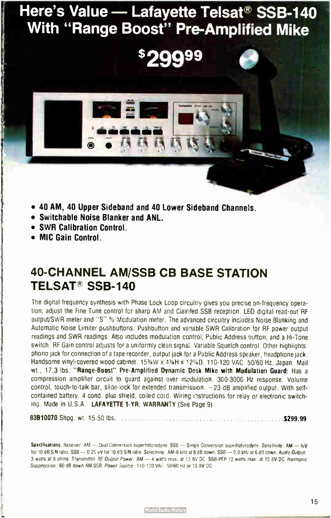# Here's Value - Lafayette Telsat<sup>®</sup> SSB-140 With "Range Boost" Pre-Amplified Mike

- 40 AM, 40 Upper Sidebani and 40 Lower Sideband Channes.
- Switchable Noise Blanker and ANL.
- SWR Calibration Control.
- MIC Gain Control.

## 40-CHANNEL AM/SSB CB BASE STATION TELSAT® SSB-140

The digital frequency synthesis with Phase Lock Loop circuitry gives you precise on- frequency operation; adjust the Fine Tune control fer sharp AM and Clairifed SSB reception. LEO digital read-out RF output/SWR meter and "S" % Mcdulation meter. The advanced circuitry includes Noise Blanking and Automatic Noise Limiter pushbuttons. Pushbutton and variable SWR Calibration for RF power output readings and SWR readings. Also includes modulation control; Public Address button; and a Hi- Tone switch. RF Gain controi adjusts for a uniformly clean signal. Variable Squelch control. Other highlights: phono jack for connection of a tape recorder, output jack for a Public Address speaker, headphone jack. Handsome vinyl-covered wood cabinet. 15%W x 4%H x 12%D, 110-120 VAC. 50/60 Hz. Japan. Mail wt., 17.3 lbs. "Range- Boost" Pre- Amplified Dynamic Desk Mike with Modulation Guard: Has a compression amplifier crrcuit to guard against over modulation. 300-300G Hz response. Volume control, touch-to-talk bar, slide-lock for extended transmission.  $-23$  dB amplified output. With selfcontained battery. 4 cond. plus shield, coiled cord. Wiring instructions for relay or electronic switching. Made in U.S.A. LAFAYETTE 1-YR. WARRANTY (See Page 9)

83B10070 Shpg. wt. 15.50 lbs. \$ 299.99

Specifications: Receiver. AM — Dual Conversion superheterodyne SSB — Single Conversion superheterodyne. Sensitivity: AM — luV for 10 dB S/N ratio. SSB - 0 25 bV for 10 dB S/N ratio. Selectivity : AM-6 kHz at 6 dB down. SSB - 2.0 kHz at 6 dB down. Audio Output: 3 watts at 8 ohms. Transmitter RF Output Power. AM -- 4 watts max. at 13.8V DC. SSB-PEP 12 watts max. at 13.8V DC. Harmonic Suppression: 60 dB down AM/SSB. Pawer Source: 110-120 VAC 50/60 Hz or 13.8V DC